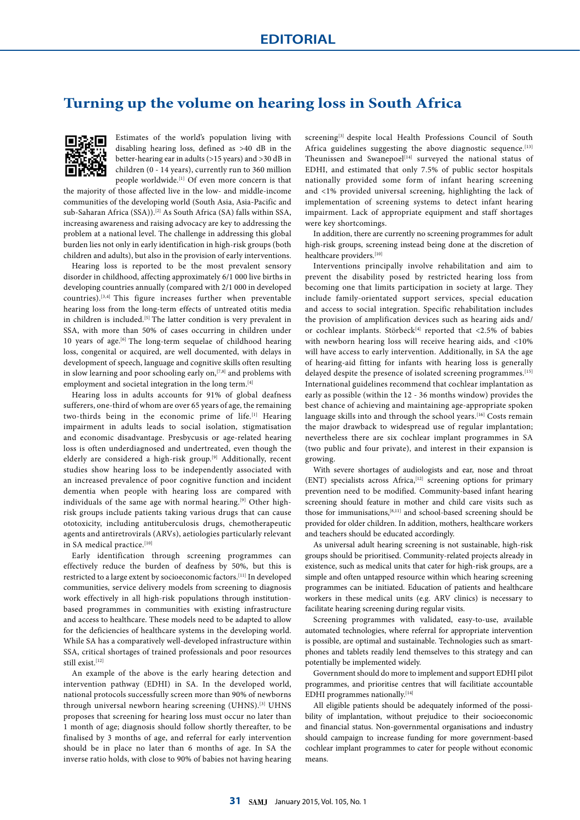## **Turning up the volume on hearing loss in South Africa**



Estimates of the world's population living with disabling hearing loss, defined as >40 dB in the better-hearing ear in adults (>15 years) and >30 dB in children (0 - 14 years), currently run to 360 million people worldwide.<sup>[1]</sup> Of even more concern is that

the majority of those affected live in the low- and middle-income communities of the developing world (South Asia, Asia-Pacific and sub-Saharan Africa (SSA)).<sup>[2]</sup> As South Africa (SA) falls within SSA, increasing awareness and raising advocacy are key to addressing the problem at a national level. The challenge in addressing this global burden lies not only in early identification in high-risk groups (both children and adults), but also in the provision of early interventions.

Hearing loss is reported to be the most prevalent sensory disorder in childhood, affecting approximately 6/1 000 live births in developing countries annually (compared with 2/1 000 in developed countries).[3,4] This figure increases further when preventable hearing loss from the long-term effects of untreated otitis media in children is included.[5] The latter condition is very prevalent in SSA, with more than 50% of cases occurring in children under 10 years of age.<sup>[6]</sup> The long-term sequelae of childhood hearing loss, congenital or acquired, are well documented, with delays in development of speech, language and cognitive skills often resulting in slow learning and poor schooling early on,  $[7,8]$  and problems with employment and societal integration in the long term.<sup>[4]</sup>

Hearing loss in adults accounts for 91% of global deafness sufferers, one-third of whom are over 65 years of age, the remaining two-thirds being in the economic prime of life.<sup>[1]</sup> Hearing impairment in adults leads to social isolation, stigmatisation and economic disadvantage. Presbycusis or age-related hearing loss is often underdiagnosed and undertreated, even though the elderly are considered a high-risk group.<sup>[9]</sup> Additionally, recent studies show hearing loss to be independently associated with an increased prevalence of poor cognitive function and incident dementia when people with hearing loss are compared with individuals of the same age with normal hearing.<sup>[9]</sup> Other highrisk groups include patients taking various drugs that can cause ototoxicity, including antituberculosis drugs, chemotherapeutic agents and antiretrovirals (ARVs), aetiologies particularly relevant in SA medical practice.<sup>[10]</sup>

Early identification through screening programmes can effectively reduce the burden of deafness by 50%, but this is restricted to a large extent by socioeconomic factors.[11] In developed communities, service delivery models from screening to diagnosis work effectively in all high-risk populations through institutionbased programmes in communities with existing infrastructure and access to healthcare. These models need to be adapted to allow for the deficiencies of healthcare systems in the developing world. While SA has a comparatively well-developed infrastructure within SSA, critical shortages of trained professionals and poor resources still exist.<sup>[12]</sup>

An example of the above is the early hearing detection and intervention pathway (EDHI) in SA. In the developed world, national protocols successfully screen more than 90% of newborns through universal newborn hearing screening (UHNS).<sup>[3]</sup> UHNS proposes that screening for hearing loss must occur no later than 1 month of age; diagnosis should follow shortly thereafter, to be finalised by 3 months of age, and referral for early intervention should be in place no later than 6 months of age. In SA the inverse ratio holds, with close to 90% of babies not having hearing screening<sup>[3]</sup> despite local Health Professions Council of South Africa guidelines suggesting the above diagnostic sequence.<sup>[13]</sup> Theunissen and Swanepoel<sup>[14]</sup> surveyed the national status of EDHI, and estimated that only 7.5% of public sector hospitals nationally provided some form of infant hearing screening and <1% provided universal screening, highlighting the lack of implementation of screening systems to detect infant hearing impairment. Lack of appropriate equipment and staff shortages were key shortcomings.

In addition, there are currently no screening programmes for adult high-risk groups, screening instead being done at the discretion of healthcare providers.[10]

Interventions principally involve rehabilitation and aim to prevent the disability posed by restricted hearing loss from becoming one that limits participation in society at large. They include family-orientated support services, special education and access to social integration. Specific rehabilitation includes the provision of amplification devices such as hearing aids and/ or cochlear implants. Störbeck<sup>[4]</sup> reported that <2.5% of babies with newborn hearing loss will receive hearing aids, and <10% will have access to early intervention. Additionally, in SA the age of hearing-aid fitting for infants with hearing loss is generally delayed despite the presence of isolated screening programmes.<sup>[15]</sup> International guidelines recommend that cochlear implantation as early as possible (within the 12 - 36 months window) provides the best chance of achieving and maintaining age-appropriate spoken language skills into and through the school years.<sup>[16]</sup> Costs remain the major drawback to widespread use of regular implantation; nevertheless there are six cochlear implant programmes in SA (two public and four private), and interest in their expansion is growing.

With severe shortages of audiologists and ear, nose and throat (ENT) specialists across Africa,<sup>[12]</sup> screening options for primary prevention need to be modified. Community-based infant hearing screening should feature in mother and child care visits such as those for immunisations,<sup>[8,11]</sup> and school-based screening should be provided for older children. In addition, mothers, healthcare workers and teachers should be educated accordingly.

As universal adult hearing screening is not sustainable, high-risk groups should be prioritised. Community-related projects already in existence, such as medical units that cater for high-risk groups, are a simple and often untapped resource within which hearing screening programmes can be initiated. Education of patients and healthcare workers in these medical units (e.g. ARV clinics) is necessary to facilitate hearing screening during regular visits.

Screening programmes with validated, easy-to-use, available automated technologies, where referral for appropriate intervention is possible, are optimal and sustainable. Technologies such as smartphones and tablets readily lend themselves to this strategy and can potentially be implemented widely.

Government should do more to implement and support EDHI pilot programmes, and prioritise centres that will facilitiate accountable EDHI programmes nationally.<sup>[14]</sup>

All eligible patients should be adequately informed of the possibility of implantation, without prejudice to their socioeconomic and financial status. Non-governmental organisations and industry should campaign to increase funding for more government-based cochlear implant programmes to cater for people without economic means.